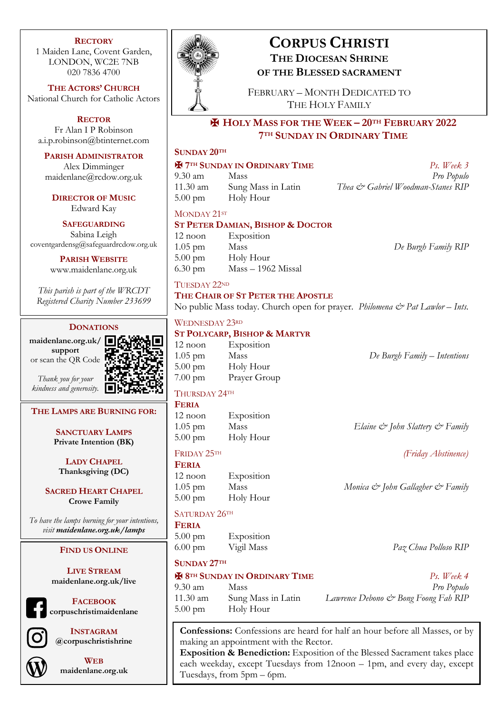### **RECTORY**

1 Maiden Lane, Covent Garden, LONDON, WC2E 7NB 020 7836 4700

**THE ACTORS' CHURCH** National Church for Catholic Actors

**RECTOR** Fr Alan I P Robinson a.i.p.robinson@btinternet.com

**PARISH ADMINISTRATOR**

Alex Dimminger maidenlane@rcdow.org.uk

**DIRECTOR OF MUSIC** Edward Kay

**SAFEGUARDING** Sabina Leigh coventgardensg@safeguardrcdow.org.uk

> **PARISH WEBSITE** www.maidenlane.org.uk

*This parish is part of the WRCDT Registered Charity Number 233699*

### **DONATIONS**

**maidenlane.org.uk/ support** or scan the QR Code



*Thank you for your kindness and generosity.*

### **THE LAMPS ARE BURNING FOR:**

**SANCTUARY LAMPS Private Intention (BK)**

**LADY CHAPEL Thanksgiving (DC)**

**SACRED HEART CHAPEL Crowe Family**

*To have the lamps burning for your intentions, visit maidenlane.org.uk/lamps*

### **FIND US ONLINE**

**LIVE STREAM maidenlane.org.uk/live**

**FACEBOOK corpuschristimaidenlane**



**INSTAGRAM @corpuschristishrine**



**WEB maidenlane.org.uk**



# **CORPUS CHRISTI THE DIOCESAN SHRINE OF THE BLESSED SACRAMENT**

FEBRUARY – MONTH DEDICATED TO THE HOLY FAMILY

# ✠ **HOLY MASS FOR THE WEEK – 20TH FEBRUARY 2022 7TH SUNDAY IN ORDINARY TIME**

# **SUNDAY 20TH**

### ✠ **7TH SUNDAY IN ORDINARY TIME** *Ps. Week 3*

9.30 am Mass *Pro Populo* 11.30 am Sung Mass in Latin *Thea & Gabriel Woodman-Stanes RIP* 5.00 pm Holy Hour

MONDAY 21ST

### **ST PETER DAMIAN, BISHOP & DOCTOR**

12 noon Exposition 1.05 pm Mass *De Burgh Family RIP* 5.00 pm Holy Hour 6.30 pm Mass – 1962 Missal

TUESDAY 22ND

### **THE CHAIR OF ST PETER THE APOSTLE**

No public Mass today. Church open for prayer. *Philomena & Pat Lawlor – Ints.*

### WEDNESDAY 23RD

# **ST POLYCARP, BISHOP & MARTYR**

12 noon Exposition 1.05 pm Mass *De Burgh Family – Intentions* 5.00 pm Holy Hour 7.00 pm Prayer Group

# THURSDAY 24TH

**FERIA**

12 noon Exposition 1.05 pm Mass *Elaine & John Slattery & Family* 5.00 pm Holy Hour

**FERIA** 12 noon Exposition 1.05 pm Mass *Monica & John Gallagher & Family* 5.00 pm Holy Hour

# SATURDAY 26TH

**FERIA** 5.00 pm Exposition 6.00 pm Vigil Mass *Paz Chua Polloso RIP*

**SUNDAY 27TH**

5.00 pm Holy Hour

✠ **8TH SUNDAY IN ORDINARY TIME** *Ps. Week 4* 9.30 am Mass *Pro Populo*

11.30 am Sung Mass in Latin *Lawrence Debono & Bong Foong Fah RIP*

**Confessions:** Confessions are heard for half an hour before all Masses, or by making an appointment with the Rector.

**Exposition & Benediction:** Exposition of the Blessed Sacrament takes place each weekday, except Tuesdays from 12noon – 1pm, and every day, except Tuesdays, from 5pm – 6pm.

FRIDAY 25TH *(Friday Abstinence)*